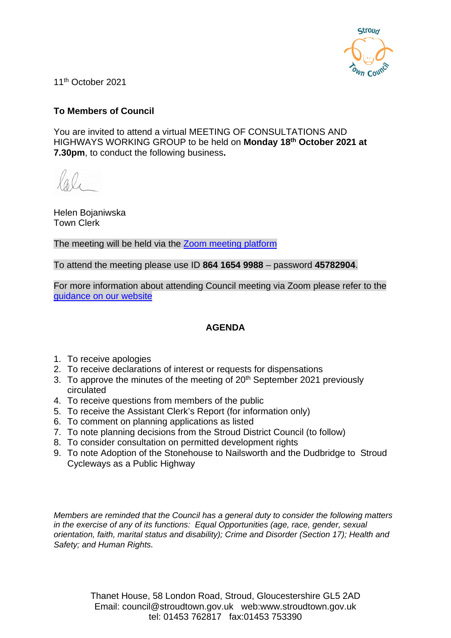

11th October 2021

# **To Members of Council**

You are invited to attend a virtual MEETING OF CONSULTATIONS AND HIGHWAYS WORKING GROUP to be held on **Monday 18th October 2021 at 7.30pm**, to conduct the following business**.**

Helen Bojaniwska Town Clerk

The meeting will be held via the [Zoom meeting platform](https://www.zoom.us/join)

To attend the meeting please use ID **864 1654 9988** – password **45782904**.

For more information about attending Council meeting via Zoom please refer to the [guidance on our website](https://www.stroudtown.gov.uk/uploads/taking-part-in-an-stc-zoom-meeting-april-2020.pdf)

# **AGENDA**

- 1. To receive apologies
- 2. To receive declarations of interest or requests for dispensations
- 3. To approve the minutes of the meeting of 20<sup>th</sup> September 2021 previously circulated
- 4. To receive questions from members of the public
- 5. To receive the Assistant Clerk's Report (for information only)
- 6. To comment on planning applications as listed
- 7. To note planning decisions from the Stroud District Council (to follow)
- 8. To consider consultation on permitted development rights
- 9. To note Adoption of the Stonehouse to Nailsworth and the Dudbridge to Stroud Cycleways as a Public Highway

*Members are reminded that the Council has a general duty to consider the following matters in the exercise of any of its functions: Equal Opportunities (age, race, gender, sexual orientation, faith, marital status and disability); Crime and Disorder (Section 17); Health and Safety; and Human Rights.*

> Thanet House, 58 London Road, Stroud, Gloucestershire GL5 2AD Email: council@stroudtown.gov.uk web:www.stroudtown.gov.uk tel: 01453 762817 fax:01453 753390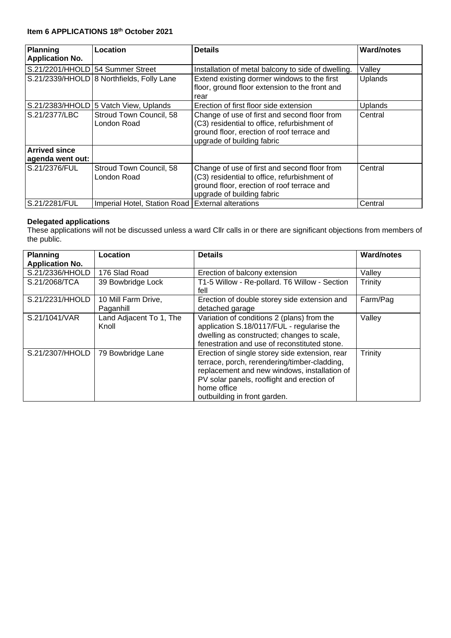#### **Item 6 APPLICATIONS 18th October 2021**

| <b>Planning</b>                  | Location                                            | <b>Details</b>                                                                                                                                                           | <b>Ward/notes</b> |
|----------------------------------|-----------------------------------------------------|--------------------------------------------------------------------------------------------------------------------------------------------------------------------------|-------------------|
| <b>Application No.</b>           |                                                     |                                                                                                                                                                          |                   |
| S.21/2201/HHOLD 54 Summer Street |                                                     | Installation of metal balcony to side of dwelling.                                                                                                                       | Valley            |
|                                  | S.21/2339/HHOLD 8 Northfields, Folly Lane           | Extend existing dormer windows to the first<br>floor, ground floor extension to the front and<br>rear                                                                    | Uplands           |
|                                  | S.21/2383/HHOLD 5 Vatch View, Uplands               | Erection of first floor side extension                                                                                                                                   | Uplands           |
| S.21/2377/LBC                    | Stroud Town Council, 58<br>London Road              | Change of use of first and second floor from<br>(C3) residential to office, refurbishment of<br>ground floor, erection of roof terrace and<br>upgrade of building fabric | Central           |
| <b>Arrived since</b>             |                                                     |                                                                                                                                                                          |                   |
| agenda went out:                 |                                                     |                                                                                                                                                                          |                   |
| S.21/2376/FUL                    | Stroud Town Council, 58<br>London Road              | Change of use of first and second floor from<br>(C3) residential to office, refurbishment of<br>ground floor, erection of roof terrace and<br>upgrade of building fabric | Central           |
| S.21/2281/FUL                    | Imperial Hotel, Station Road   External alterations |                                                                                                                                                                          | Central           |

#### **Delegated applications**

These applications will not be discussed unless a ward Cllr calls in or there are significant objections from members of the public.

| <b>Planning</b>        | Location                         | <b>Details</b>                                                                                                                                                                                                                              | <b>Ward/notes</b> |
|------------------------|----------------------------------|---------------------------------------------------------------------------------------------------------------------------------------------------------------------------------------------------------------------------------------------|-------------------|
| <b>Application No.</b> |                                  |                                                                                                                                                                                                                                             |                   |
| S.21/2336/HHOLD        | 176 Slad Road                    | Erection of balcony extension                                                                                                                                                                                                               | Valley            |
| S.21/2068/TCA          | 39 Bowbridge Lock                | T1-5 Willow - Re-pollard. T6 Willow - Section<br>fell                                                                                                                                                                                       | Trinity           |
| S.21/2231/HHOLD        | 10 Mill Farm Drive,<br>Paganhill | Erection of double storey side extension and<br>detached garage                                                                                                                                                                             | Farm/Pag          |
| S.21/1041/VAR          | Land Adjacent To 1, The<br>Knoll | Variation of conditions 2 (plans) from the<br>application S.18/0117/FUL - regularise the<br>dwelling as constructed; changes to scale,<br>fenestration and use of reconstituted stone.                                                      | Valley            |
| S.21/2307/HHOLD        | 79 Bowbridge Lane                | Erection of single storey side extension, rear<br>terrace, porch, rerendering/timber-cladding,<br>replacement and new windows, installation of<br>PV solar panels, rooflight and erection of<br>home office<br>outbuilding in front garden. | Trinity           |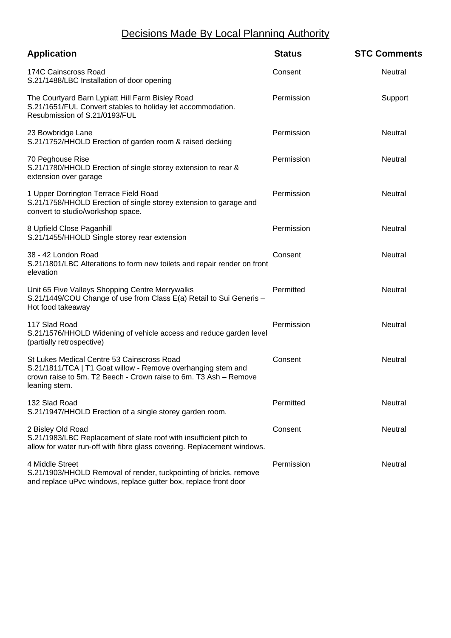# Decisions Made By Local Planning Authority

| <b>Application</b>                                                                                                                                                                              | <b>Status</b> | <b>STC Comments</b> |
|-------------------------------------------------------------------------------------------------------------------------------------------------------------------------------------------------|---------------|---------------------|
| 174C Cainscross Road<br>S.21/1488/LBC Installation of door opening                                                                                                                              | Consent       | Neutral             |
| The Courtyard Barn Lypiatt Hill Farm Bisley Road<br>S.21/1651/FUL Convert stables to holiday let accommodation.<br>Resubmission of S.21/0193/FUL                                                | Permission    | Support             |
| 23 Bowbridge Lane<br>S.21/1752/HHOLD Erection of garden room & raised decking                                                                                                                   | Permission    | Neutral             |
| 70 Peghouse Rise<br>S.21/1780/HHOLD Erection of single storey extension to rear &<br>extension over garage                                                                                      | Permission    | Neutral             |
| 1 Upper Dorrington Terrace Field Road<br>S.21/1758/HHOLD Erection of single storey extension to garage and<br>convert to studio/workshop space.                                                 | Permission    | Neutral             |
| 8 Upfield Close Paganhill<br>S.21/1455/HHOLD Single storey rear extension                                                                                                                       | Permission    | Neutral             |
| 38 - 42 London Road<br>S.21/1801/LBC Alterations to form new toilets and repair render on front<br>elevation                                                                                    | Consent       | Neutral             |
| Unit 65 Five Valleys Shopping Centre Merrywalks<br>S.21/1449/COU Change of use from Class E(a) Retail to Sui Generis -<br>Hot food takeaway                                                     | Permitted     | <b>Neutral</b>      |
| 117 Slad Road<br>S.21/1576/HHOLD Widening of vehicle access and reduce garden level<br>(partially retrospective)                                                                                | Permission    | Neutral             |
| St Lukes Medical Centre 53 Cainscross Road<br>S.21/1811/TCA   T1 Goat willow - Remove overhanging stem and<br>crown raise to 5m. T2 Beech - Crown raise to 6m. T3 Ash - Remove<br>leaning stem. | Consent       | <b>Neutral</b>      |
| 132 Slad Road<br>S.21/1947/HHOLD Erection of a single storey garden room.                                                                                                                       | Permitted     | Neutral             |
| 2 Bisley Old Road<br>S.21/1983/LBC Replacement of slate roof with insufficient pitch to<br>allow for water run-off with fibre glass covering. Replacement windows.                              | Consent       | Neutral             |
| 4 Middle Street<br>S.21/1903/HHOLD Removal of render, tuckpointing of bricks, remove<br>and replace uPvc windows, replace gutter box, replace front door                                        | Permission    | Neutral             |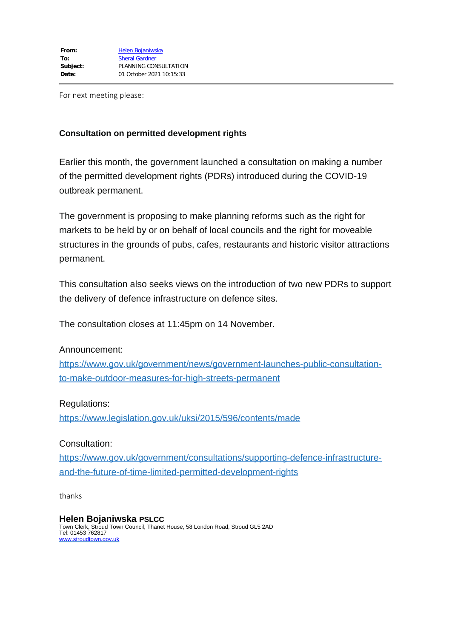For next meeting please:

## **Consultation on permitted development rights**

Earlier this month, the government launched a consultation on making a number of the permitted development rights (PDRs) introduced during the COVID-19 outbreak permanent.

The government is proposing to make planning reforms such as the right for markets to be held by or on behalf of local councils and the right for moveable structures in the grounds of pubs, cafes, restaurants and historic visitor attractions permanent.

This consultation also seeks views on the introduction of two new PDRs to support the delivery of defence infrastructure on defence sites.

The consultation closes at 11:45pm on 14 November.

## Announcement:

[https://www.gov.uk/government/news/government-launches-public-consultation](https://www.gov.uk/government/news/government-launches-public-consultation-to-make-outdoor-measures-for-high-streets-permanent)[to-make-outdoor-measures-for-high-streets-permanent](https://www.gov.uk/government/news/government-launches-public-consultation-to-make-outdoor-measures-for-high-streets-permanent)

## Regulations:

<https://www.legislation.gov.uk/uksi/2015/596/contents/made>

## Consultation:

[https://www.gov.uk/government/consultations/supporting-defence-infrastructure](https://www.gov.uk/government/consultations/supporting-defence-infrastructure-and-the-future-of-time-limited-permitted-development-rights)[and-the-future-of-time-limited-permitted-development-rights](https://www.gov.uk/government/consultations/supporting-defence-infrastructure-and-the-future-of-time-limited-permitted-development-rights)

thanks

## **Helen Bojaniwska PSLCC**

Town Clerk, Stroud Town Council, Thanet House, 58 London Road, Stroud GL5 2AD Tel: 01453 762817 [www.stroudtown.gov.uk](http://www.stroudtown.gov.uk/)